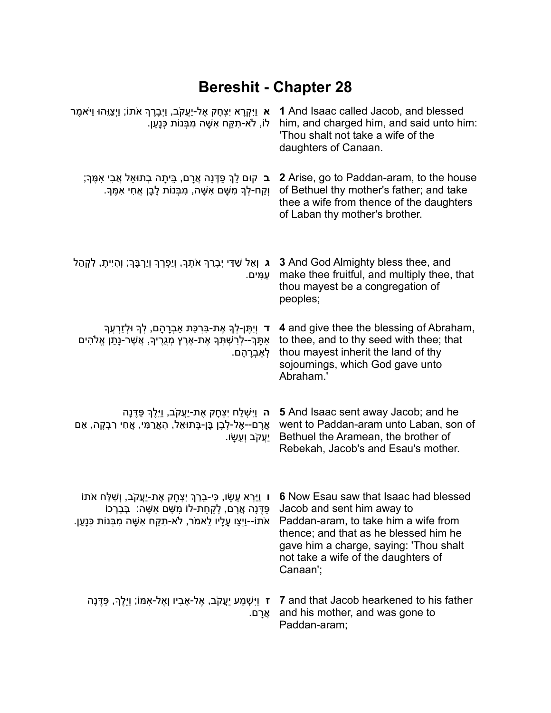## **Bereshit - Chapter 28**

| א וַיִּקְרָא יִצְחָק אֶל-יַעֲקֹב, וַיְבָרֶךְ אֹתוֹ; וַיְצַוֵּהוּ וַיֹּאמֶר<br>לוֹ, לֹא-תָקַח אִשָּׁה מִבְּנוֹת כְּנַעַן.                                                                               | 1 And Isaac called Jacob, and blessed<br>him, and charged him, and said unto him:<br>'Thou shalt not take a wife of the<br>daughters of Canaan.                                                                                                   |
|--------------------------------------------------------------------------------------------------------------------------------------------------------------------------------------------------------|---------------------------------------------------------------------------------------------------------------------------------------------------------------------------------------------------------------------------------------------------|
| <b>ָב</b> קוּם לֵךְ פַּדֶּנָה אֲרָם, בֵּיתָה בְתוּאֵל אֲבִי אִמֶּךְ;<br>וְקַח-לְךָ מְשָׁם אִשָּׁה, מִבְּנוֹת לָבָן אֲחִי אִמֶּךְ.                                                                      | 2 Arise, go to Paddan-aram, to the house<br>of Bethuel thy mother's father; and take<br>thee a wife from thence of the daughters<br>of Laban thy mother's brother.                                                                                |
| <b>ג</b> וְאֵל שַׁדַּי יְבָרֵךְ אֹתְךָ, וְיַפְּרְךָ וְיַרְבֶּךְ; וְהָיִיתָ, לִקְהַל<br>עַמִּים.                                                                                                        | <b>3</b> And God Almighty bless thee, and<br>make thee fruitful, and multiply thee, that<br>thou mayest be a congregation of<br>peoples;                                                                                                          |
| ד וְיָתֵן-לְךָ אֶת-בִּרְכַּת אַבְרָהָם, לְךָ וּלְזַרְעֵךְ<br>אִתָּךָ--לְרִשְׁתְּךָ אֶת-אֶרֶץ מְגֻרֶיךָ, אֲשֶׁר-נָתַן אֱלֹהִים<br>ִלְאַבְרָהָם.                                                         | 4 and give thee the blessing of Abraham,<br>to thee, and to thy seed with thee; that<br>thou mayest inherit the land of thy<br>sojournings, which God gave unto<br>Abraham.'                                                                      |
| <b>ָה</b> וַיִּשְׁלַח יִצְחָק אֶת-יַעֲקֹב, וַיֵּלֶךְ פַּדֶּנָה<br>ְאֲרָם--אֶל-לָבָן בֶּן-בְּתוּאֵל, הָאֲרַמִּי, אֲחִי רִבְקָה, אֵם<br>ַיַעֲקֹב וְעֵשָׂו.                                               | 5 And Isaac sent away Jacob; and he<br>went to Paddan-aram unto Laban, son of<br>Bethuel the Aramean, the brother of<br>Rebekah, Jacob's and Esau's mother.                                                                                       |
| ו וַיַּרְא עֵשָׂו, כִּי-בֵרַךְ יִצְחָק אֶת-יַעֲקֹב, וְשִׁלַּח אֹתוֹ<br>פַּדֶּנָה אֲרָם, לָקַחַת-לוֹ מִשָּׁם אִשָּׁה: בְּבָרְכוֹ<br>אֹתוֹ--וַיְצַו עַלַיו לֵאמֹר, לֹא-תָקַח אִשָּׁה מְבְּנוֹת כְּנַעַן. | 6 Now Esau saw that Isaac had blessed<br>Jacob and sent him away to<br>Paddan-aram, to take him a wife from<br>thence; and that as he blessed him he<br>gave him a charge, saying: 'Thou shalt<br>not take a wife of the daughters of<br>Canaan'; |
| ז וַיִּשְׁמַע יַעֲקֹב, אֶל-אָבִיו וְאֶל-אִמּוֹ; וַיֵּלֶךְ, פַּדֶּנָה <b>ז</b><br>ּאֲרָם.                                                                                                               | 7 and that Jacob hearkened to his father<br>and his mother, and was gone to<br>Paddan-aram;                                                                                                                                                       |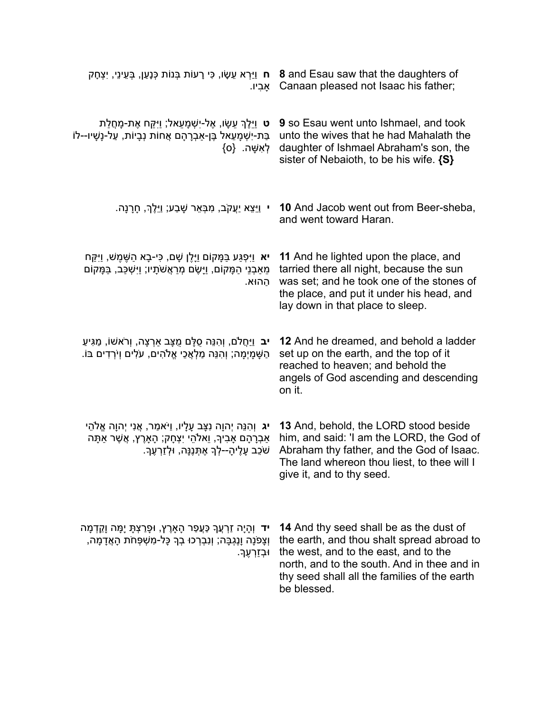| ּח וַיַּרְא עֵשָׂו, כִּי רָעוֹת בְּנוֹת כְּנָעֲן, בְּעֵינֵי, יִצְחָק<br>אביו.                                                                                                              | 8 and Esau saw that the daughters of<br>Canaan pleased not Isaac his father;                                                                                                                                                                 |
|--------------------------------------------------------------------------------------------------------------------------------------------------------------------------------------------|----------------------------------------------------------------------------------------------------------------------------------------------------------------------------------------------------------------------------------------------|
| <b>ָט</b> וַיֵּלֶךְ עֵשָׂו, אֶל-יִשְׁמָעֵאל, וַיְקֵח אֶת-מָחֲלַת<br>בַּת-יִשְׁמָעֵאל בֶּן-אַבְרָהָם אֲחוֹת נְבָיוֹת, עַל-נָשָׁיו--לוֹ<br>{לְאָשָׁה. {0}                                    | <b>9</b> so Esau went unto Ishmael, and took<br>unto the wives that he had Mahalath the<br>daughter of Ishmael Abraham's son, the<br>sister of Nebaioth, to be his wife. {S}                                                                 |
| י  וַיֵּצֵא יַעֲקֹב, מִבָּאֵר שָׁבַע; וַיֵּלֶךְ, חָרָנָה.                                                                                                                                  | <b>10</b> And Jacob went out from Beer-sheba,<br>and went toward Haran.                                                                                                                                                                      |
| <b>יא</b> וַיִּפְגַּע בַּמָּקוֹם וַיָּלֵן שָׁם, כִּי-בָא הַשֶּׁמֵשׁ, וַיִּקֵּח<br>מֵאַבְנֵי הַמָּקוֹם, וַיָּשֶׂם מְרַאֲשֹׁתָיו; וַיִּשְׁכַּב, בַּמָּקוֹם<br>ההוּא.                         | 11 And he lighted upon the place, and<br>tarried there all night, because the sun<br>was set; and he took one of the stones of<br>the place, and put it under his head, and<br>lay down in that place to sleep.                              |
| <b>ִיב</b> וַיַּחֲלֹם, וְהִנֵּה סֻלָּם מֻצָּב אַרְצָה, וְרֹאשׁוֹ, מַגִּיעַ<br>ֿהַשָּׁמָיְמָה; וְהִנֵּה מַלְאֲכֵי אֱלֹהִים, עֹלִים וְיֹרְדִים בּוֹ.                                         | 12 And he dreamed, and behold a ladder<br>set up on the earth, and the top of it<br>reached to heaven; and behold the<br>angels of God ascending and descending<br>on it.                                                                    |
| <b>יג</b> וְהִנֵּה יְהוָה נִצָּב עָלָיו, וַיֹּאמַר, אֲנִי יְהוָה אֱלֹהֵי<br>אַבְרָהָם אָבִיךָ, וֵאלֹהֵי יִצְחָק; הָאָרֶץ, אֲשֶׁר אַתָּה<br>שֹׁכֵב עָלֶיהָ--לְךָ אֶתְּנֶנָּה, וּלְזַרְעֶךָ. | 13 And, behold, the LORD stood beside<br>him, and said: 'I am the LORD, the God of<br>Abraham thy father, and the God of Isaac.<br>The land whereon thou liest, to thee will I<br>give it, and to thy seed.                                  |
| <b>יד</b> וְהָיָה זַרְעֲךָ כַּעֲפַר הָאָרֶץ, וּפָרַצְתָּ יָמָה וָקֵדְמָה<br>וְצַפֹּנַה וַנֵגְבַּה; וְנִבְרְכוּ בְךָ כָּל-מְשָׁפָּחֹת הָאֲדָמַה,<br>ּוּבְזַרְעֶךָ                           | 14 And thy seed shall be as the dust of<br>the earth, and thou shalt spread abroad to<br>the west, and to the east, and to the<br>north, and to the south. And in thee and in<br>thy seed shall all the families of the earth<br>be blessed. |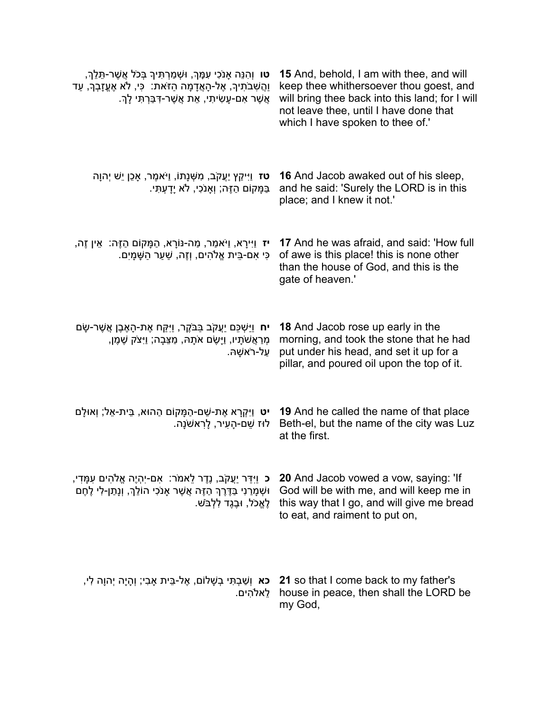| <b>טו</b> וְהִנֵּה אָנֹכִי עִמָּךְ, וּשְׁמַרְתִּיךָ בְּכֹל אֲשֶׁר-תֵּלֵךְ,<br>ַוְהֲשָׁבֹתִיךָ, אֶל-הָאֲדָמָה הַזֹּאת: כִּי, לֹא אֶעֱזָבְךָ, עַד<br>ְאֲשֶׁר אָם-עַשִׂיתִי, אֶת אֲשֶׁר-דְּבַּרְתִּי לַךְ. | 15 And, behold, I am with thee, and will<br>keep thee whithersoever thou goest, and<br>will bring thee back into this land; for I will<br>not leave thee, until I have done that<br>which I have spoken to thee of.' |
|---------------------------------------------------------------------------------------------------------------------------------------------------------------------------------------------------------|----------------------------------------------------------------------------------------------------------------------------------------------------------------------------------------------------------------------|
| <b>טז</b> וַיִּיקַץ יַעֲקֹב, מִשָּׁנָתוֹ, וַיֹּאמֶר, אַכֵן יֵשׁ יִהוָה<br>ַבַּמָּקוֹם הַזֶּה; וְאַנֹכִי, לֹא יָדָעִתִּי.                                                                                | <b>16</b> And Jacob awaked out of his sleep,<br>and he said: 'Surely the LORD is in this<br>place; and I knew it not.'                                                                                               |
| <b>יז</b> וַיִּירָא, וַיֹּאמַר, מַה-נּוֹרָא, הַמָּקוֹם הַזֶּה: אֵין זֶה,<br>ְכִּי אִם-בֵּית אֱלֹהִים, וְזֶה, שַׁעַר הַשָּׁמָיִם.                                                                        | 17 And he was afraid, and said: 'How full<br>of awe is this place! this is none other<br>than the house of God, and this is the<br>gate of heaven.'                                                                  |
| <b>יח</b> וַיַּשְׁכֵּם יַעֲקֹב בַּבֹּקֶר, וַיִּקַּח אֶת-הָאֶבֶן אֲשֶׁר-שָׂם<br>מְרַאֲשֹׁתָיו, וַיָּשֶׂם אֹתָהּ, מַצֵּבָה; וַיִּצֹק שֶׁמֶן,<br>ַעַל-רֹאשַהּ.                                             | <b>18</b> And Jacob rose up early in the<br>morning, and took the stone that he had<br>put under his head, and set it up for a<br>pillar, and poured oil upon the top of it.                                         |
| <b>יט</b> וַיִּקְרָא אֶת-שֵׁם-הַמָּקוֹם הַהוּא, בֵּית-אֵל; וְאוּלָם<br>לוּז שֶׁם-הָעִיר, לַרְאשֹׁנָה.                                                                                                   | 19 And he called the name of that place<br>Beth-el, but the name of the city was Luz<br>at the first.                                                                                                                |
| <b>ָכ</b> וַיִּדַּר יַעֲקֹב, נֶדֶר לֵאמֹר: אָם-יִהְיֶה אֱלֹהִים עִמָּדִי,<br>וּשְׁמְרַנִי בַּדֶּרֶךְ הַזֶּה אֲשֶׁר אָנֹכִי הוֹלֵךְ, וְנָתַן-לִי לֶחֶם<br>לֵאֵכֹל, וּבֵגֶד לִלְבּשׁ.                     | 20 And Jacob vowed a vow, saying: 'If<br>God will be with me, and will keep me in<br>this way that I go, and will give me bread<br>to eat, and raiment to put on,                                                    |
| <b>ָכא</b> וְשַׁבְתִּי בְשָׁלוֹם, אֶל-בֵּית אַבִי; וְהָיָה יְהוָה לִי<br>ַלֵאלֹהִים.                                                                                                                    | 21 so that I come back to my father's<br>house in peace, then shall the LORD be<br>my God,                                                                                                                           |